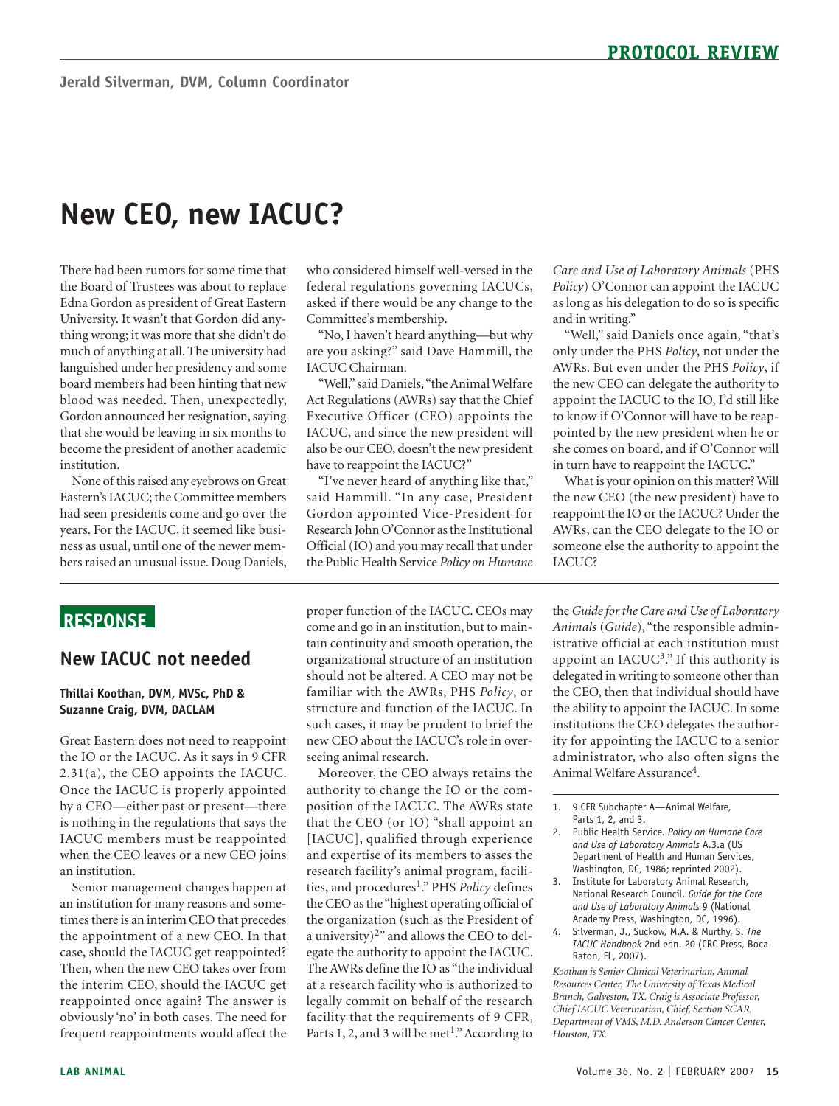# **New CEO, new IACUC?**

There had been rumors for some time that the Board of Trustees was about to replace Edna Gordon as president of Great Eastern University. It wasn't that Gordon did anything wrong; it was more that she didn't do much of anything at all. The university had languished under her presidency and some board members had been hinting that new blood was needed. Then, unexpectedly, Gordon announced her resignation, saying that she would be leaving in six months to become the president of another academic institution.

None of this raised any eyebrows on Great Eastern's IACUC; the Committee members had seen presidents come and go over the years. For the IACUC, it seemed like business as usual, until one of the newer members raised an unusual issue. Doug Daniels,

#### who considered himself well-versed in the federal regulations governing IACUCs, asked if there would be any change to the Committee's membership.

"No, I haven't heard anything—but why are you asking?" said Dave Hammill, the IACUC Chairman.

"Well," said Daniels,"the Animal Welfare Act Regulations (AWRs) say that the Chief Executive Officer (CEO) appoints the IACUC, and since the new president will also be our CEO, doesn't the new president have to reappoint the IACUC?"

"I've never heard of anything like that," said Hammill. "In any case, President Gordon appointed Vice-President for Research John O'Connor as the Institutional Official (IO) and you may recall that under the Public Health Service *Policy on Humane* 

*Care and Use of Laboratory Animals* (PHS *Policy*) O'Connor can appoint the IACUC as long as his delegation to do so is specific and in writing."

"Well," said Daniels once again, "that's only under the PHS *Policy*, not under the AWRs. But even under the PHS *Policy*, if the new CEO can delegate the authority to appoint the IACUC to the IO, I'd still like to know if O'Connor will have to be reappointed by the new president when he or she comes on board, and if O'Connor will in turn have to reappoint the IACUC."

What is your opinion on this matter? Will the new CEO (the new president) have to reappoint the IO or the IACUC? Under the AWRs, can the CEO delegate to the IO or someone else the authority to appoint the IACUC?

## **RESPONSE**

### **New IACUC not needed**

#### **Thillai Koothan, DVM, MVSc, PhD & Suzanne Craig, DVM, DACLAM**

Great Eastern does not need to reappoint the IO or the IACUC. As it says in 9 CFR 2.31(a), the CEO appoints the IACUC. Once the IACUC is properly appointed by a CEO—either past or present—there is nothing in the regulations that says the IACUC members must be reappointed when the CEO leaves or a new CEO joins an institution.

Senior management changes happen at an institution for many reasons and sometimes there is an interim CEO that precedes the appointment of a new CEO. In that case, should the IACUC get reappointed? Then, when the new CEO takes over from the interim CEO, should the IACUC get reappointed once again? The answer is obviously 'no' in both cases. The need for frequent reappointments would affect the

proper function of the IACUC. CEOs may come and go in an institution, but to maintain continuity and smooth operation, the organizational structure of an institution should not be altered. A CEO may not be familiar with the AWRs, PHS *Policy*, or structure and function of the IACUC. In such cases, it may be prudent to brief the new CEO about the IACUC's role in overseeing animal research.

Moreover, the CEO always retains the authority to change the IO or the composition of the IACUC. The AWRs state that the CEO (or IO) "shall appoint an [IACUC], qualified through experience and expertise of its members to asses the research facility's animal program, facilities, and procedures<sup>1</sup>." PHS *Policy* defines the CEO as the "highest operating official of the organization (such as the President of a university)2" and allows the CEO to delegate the authority to appoint the IACUC. The AWRs define the IO as "the individual at a research facility who is authorized to legally commit on behalf of the research facility that the requirements of 9 CFR, Parts 1, 2, and 3 will be met<sup>1</sup>." According to the *Guide for the Care and Use of Laboratory Animals* (*Guide*), "the responsible administrative official at each institution must appoint an IACUC3." If this authority is delegated in writing to someone other than the CEO, then that individual should have the ability to appoint the IACUC. In some institutions the CEO delegates the authority for appointing the IACUC to a senior administrator, who also often signs the Animal Welfare Assurance<sup>4</sup>.

- 2. Public Health Service. *Policy on Humane Care and Use of Laboratory Animals* A.3.a (US Department of Health and Human Services, Washington, DC, 1986; reprinted 2002).
- 3. Institute for Laboratory Animal Research, National Research Council. *Guide for the Care and Use of Laboratory Animals* 9 (National Academy Press, Washington, DC, 1996).
- 4. Silverman, J., Suckow, M.A. & Murthy, S. *The IACUC Handbook* 2nd edn. 20 (CRC Press, Boca Raton, FL, 2007).

*Koothan is Senior Clinical Veterinarian, Animal Resources Center, The University of Texas Medical Branch, Galveston, TX. Craig is Associate Professor, Chief IACUC Veterinarian, Chief, Section SCAR, Department of VMS, M.D. Anderson Cancer Center, Houston, TX.* 

<sup>1. 9</sup> CFR Subchapter A-Animal Welfare, Parts 1, 2, and 3.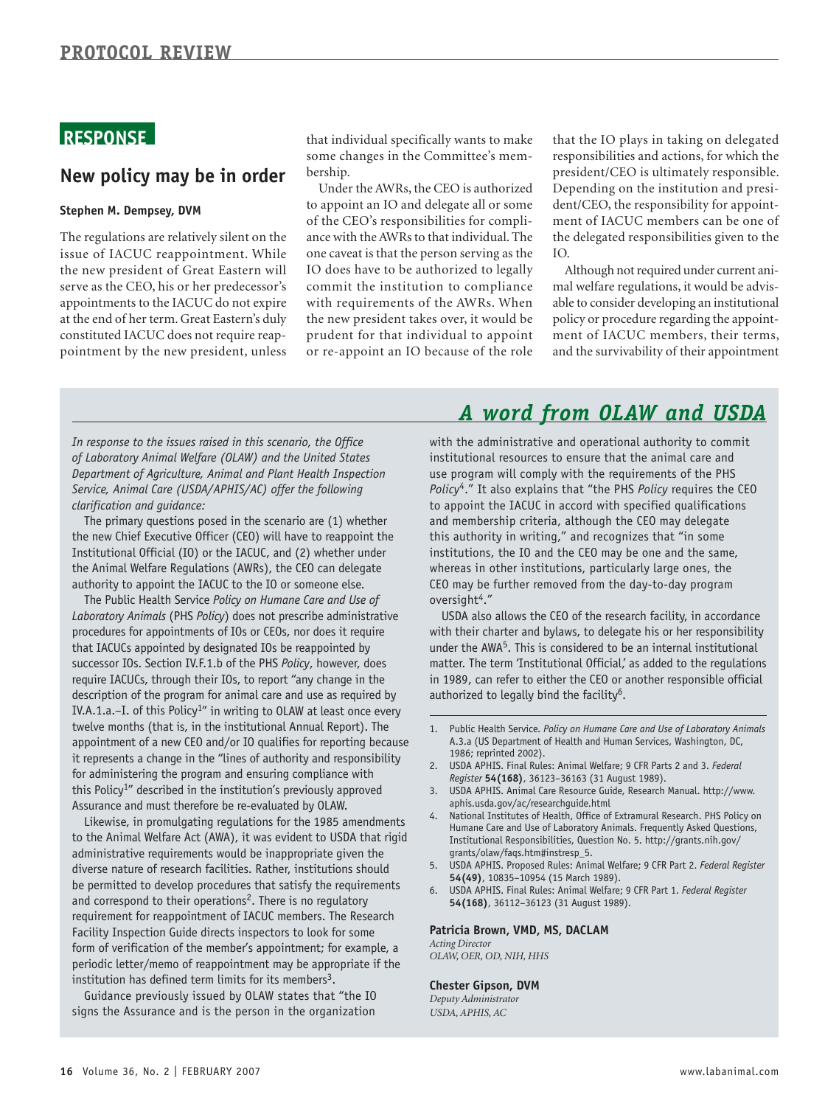# **RESPONSE**

### **New policy may be in order**

#### **Stephen M. Dempsey, DVM**

The regulations are relatively silent on the issue of IACUC reappointment. While the new president of Great Eastern will serve as the CEO, his or her predecessor's appointments to the IACUC do not expire at the end of her term. Great Eastern's duly constituted IACUC does not require reappointment by the new president, unless that individual specifically wants to make some changes in the Committee's membership.

Under the AWRs, the CEO is authorized to appoint an IO and delegate all or some of the CEO's responsibilities for compliance with the AWRs to that individual. The one caveat is that the person serving as the IO does have to be authorized to legally commit the institution to compliance with requirements of the AWRs. When the new president takes over, it would be prudent for that individual to appoint or re-appoint an IO because of the role

that the IO plays in taking on delegated responsibilities and actions, for which the president/CEO is ultimately responsible. Depending on the institution and president/CEO, the responsibility for appointment of IACUC members can be one of the delegated responsibilities given to the IO.

Although not required under current animal welfare regulations, it would be advisable to consider developing an institutional policy or procedure regarding the appointment of IACUC members, their terms, and the survivability of their appointment

*In response to the issues raised in this scenario, the Office of Laboratory Animal Welfare (OLAW) and the United States Department of Agriculture, Animal and Plant Health Inspection Service, Animal Care (USDA/APHIS/AC) offer the following clarification and guidance:* 

The primary questions posed in the scenario are (1) whether the new Chief Executive Officer (CEO) will have to reappoint the Institutional Official (IO) or the IACUC, and (2) whether under the Animal Welfare Regulations (AWRs), the CEO can delegate authority to appoint the IACUC to the IO or someone else.

The Public Health Service *Policy on Humane Care and Use of Laboratory Animals* (PHS *Policy*) does not prescribe administrative procedures for appointments of IOs or CEOs, nor does it require that IACUCs appointed by designated IOs be reappointed by successor IOs. Section IV.F.1.b of the PHS *Policy*, however, does require IACUCs, through their IOs, to report "any change in the description of the program for animal care and use as required by IV.A.1.a.–I. of this Policy<sup>1"</sup> in writing to OLAW at least once every twelve months (that is, in the institutional Annual Report). The appointment of a new CEO and/or IO qualifies for reporting because it represents a change in the "lines of authority and responsibility for administering the program and ensuring compliance with this Policy<sup>1</sup>" described in the institution's previously approved Assurance and must therefore be re-evaluated by OLAW.

Likewise, in promulgating regulations for the 1985 amendments to the Animal Welfare Act (AWA), it was evident to USDA that rigid administrative requirements would be inappropriate given the diverse nature of research facilities. Rather, institutions should be permitted to develop procedures that satisfy the requirements and correspond to their operations<sup>2</sup>. There is no regulatory requirement for reappointment of IACUC members. The Research Facility Inspection Guide directs inspectors to look for some form of verification of the member's appointment; for example, a periodic letter/memo of reappointment may be appropriate if the institution has defined term limits for its members<sup>3</sup>.

Guidance previously issued by OLAW states that "the IO signs the Assurance and is the person in the organization

# *A word from OLAW and USDA*

with the administrative and operational authority to commit institutional resources to ensure that the animal care and use program will comply with the requirements of the PHS *Policy*4." It also explains that "the PHS *Policy* requires the CEO to appoint the IACUC in accord with specified qualifications and membership criteria, although the CEO may delegate this authority in writing," and recognizes that "in some institutions, the IO and the CEO may be one and the same, whereas in other institutions, particularly large ones, the CEO may be further removed from the day-to-day program oversight<sup>4</sup>."

USDA also allows the CEO of the research facility, in accordance with their charter and bylaws, to delegate his or her responsibility under the AWA<sup>5</sup>. This is considered to be an internal institutional matter. The term 'Institutional Official,' as added to the regulations in 1989, can refer to either the CEO or another responsible official authorized to legally bind the facility<sup>6</sup>.

- 2. USDA APHIS. Final Rules: Animal Welfare; 9 CFR Parts 2 and 3. *Federal Register* **54(168)**, 36123–36163 (31 August 1989).
- 3. [USDA APHIS. Animal Care Resource Guide, Research Manual. http://www.](http://www.aphis.usda.gov/ac/researchguide.html)  aphis.usda.gov/ac/researchguide.html
- 4. National Institutes of Health, Office of Extramural Research. PHS Policy on Humane Care and Use of Laboratory Animals. Frequently Asked Questions, [Institutional Responsibilities, Question No. 5. http://grants.nih.gov/](http://grants.nih.gov/grants/olaw/faqs.htm#instresp_5) grants/olaw/faqs.htm#instresp\_5.
- 5. USDA APHIS. Proposed Rules: Animal Welfare; 9 CFR Part 2. *Federal Register*  **54(49)**, 10835–10954 (15 March 1989).
- 6. USDA APHIS. Final Rules: Animal Welfare; 9 CFR Part 1. *Federal Register*  **54(168)**, 36112–36123 (31 August 1989).

#### **Patricia Brown, VMD, MS, DACLAM**

*Acting Director OLAW, OER, OD, NIH, HHS* 

#### **Chester Gipson, DVM**

*Deputy Administrator USDA, APHIS, AC* 

<sup>1.</sup> Public Health Service. *Policy on Humane Care and Use of Laboratory Animals*  A.3.a (US Department of Health and Human Services, Washington, DC, 1986; reprinted 2002).